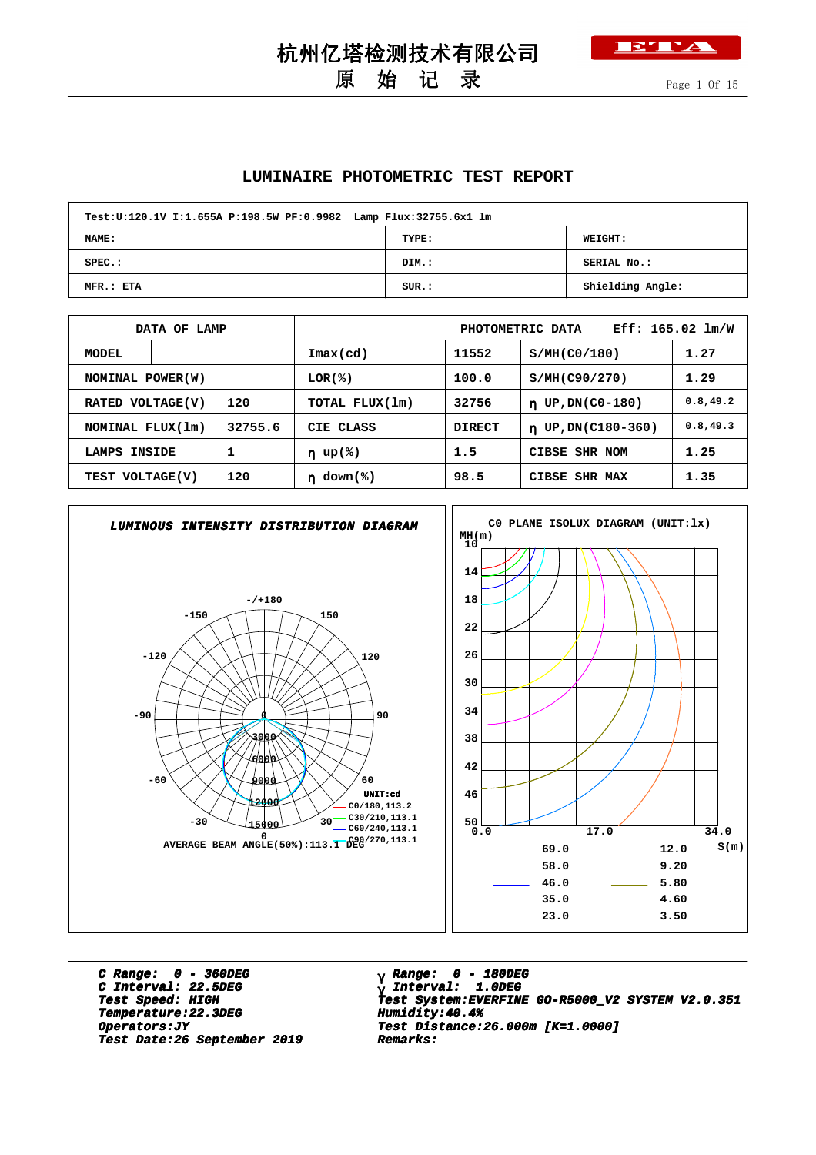### **BTTA**

## 原 始 记 录

#### **LUMINAIRE PHOTOMETRIC TEST REPORT**

杭州亿塔检测技术有限公司

| Test:U:120.1V I:1.655A P:198.5W PF:0.9982 Lamp Flux:32755.6x1 lm |       |                  |  |  |  |  |  |  |  |  |  |
|------------------------------------------------------------------|-------|------------------|--|--|--|--|--|--|--|--|--|
| NAME:                                                            | TYPE: | <b>WEIGHT:</b>   |  |  |  |  |  |  |  |  |  |
| $SPEC.$ :                                                        | DIM.: | SERIAL No.:      |  |  |  |  |  |  |  |  |  |
| MFR.: ETA                                                        | SUR.: | Shielding Angle: |  |  |  |  |  |  |  |  |  |

|                        | DATA OF LAMP            |            | $Eff: 165.02 \; lm/W$<br>PHOTOMETRIC DATA |               |                               |           |  |  |  |  |
|------------------------|-------------------------|------------|-------------------------------------------|---------------|-------------------------------|-----------|--|--|--|--|
| <b>MODEL</b>           |                         |            | $\texttt{Imax}(\text{cd})$                | 11552         | S/MH(C0/180)                  | 1.27      |  |  |  |  |
|                        | NOMINAL POWER (W)       |            | LOR(%)                                    | 100.0         | S/MH(C90/270)                 | 1.29      |  |  |  |  |
|                        | 120<br>RATED VOLTAGE(V) |            | TOTAL FLUX(1m)                            | 32756         | UP, DN(C0-180)<br>$\mathbf n$ | 0.8, 49.2 |  |  |  |  |
| NOMINAL FLUX(1m)       |                         | 32755.6    | CIE CLASS                                 | <b>DIRECT</b> | $n$ UP, DN(C180-360)          | 0.8, 49.3 |  |  |  |  |
| LAMPS INSIDE           |                         |            | $\eta$ up(%)                              | 1.5           | CIBSE SHR NOM                 | 1.25      |  |  |  |  |
| 120<br>TEST VOLTAGE(V) |                         | $down$ (%) | 98.5                                      | CIBSE SHR MAX | 1.35                          |           |  |  |  |  |



**C Range: 0 - 360DEG C Interval: 22.5DEG Temperature:22.3DEG Humidity:40.4% Temperature:22.3DEG Humidity:40.4% Test Date:26 September 2019 Remarks: Date:26 September 2019 Remarks:**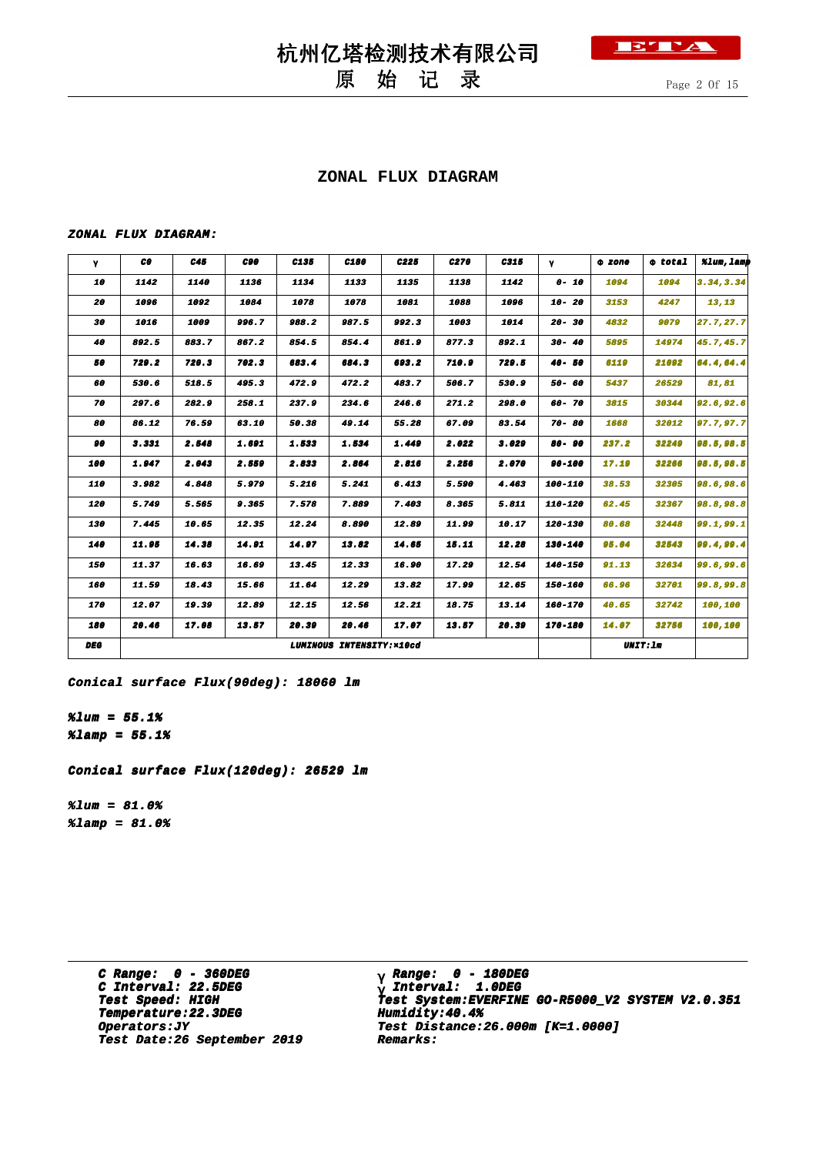## 原 始 记 录

Page 2 Of 15

ETTA

#### **ZONAL FLUX DIAGRAM**

#### **ZONAL FLUX DIAGRAM:**

| γ          | CO.   | C45   | C90   | C135  | C <sub>180</sub>          | C <sub>225</sub> | C270  | C315  | γ           | 0 zone          | $\Phi$ total | %lum, lamp |
|------------|-------|-------|-------|-------|---------------------------|------------------|-------|-------|-------------|-----------------|--------------|------------|
| 10         | 1142  | 1140  | 1136  | 1134  | 1133                      | 1135             | 1138  | 1142  | $0 - 10$    | 1094            | 1094         | 3.34.3.34  |
| 20         | 1096  | 1092  | 1084  | 1078  | 1078                      | 1081             | 1088  | 1096  | $10 - 20$   | 3153            | 4247         | 13,13      |
| 30         | 1016  | 1009  | 996.7 | 988.2 | 987.5                     | 992.3            | 1003  | 1014  | $20 - 30$   | 4832            | 9079         | 27.7,27.7  |
| 40         | 892.5 | 883.7 | 867.2 | 854.5 | 854.4                     | 861.9            | 877.3 | 892.1 | $30 - 40$   | 5895            | 14974        | 45.7,45.7  |
| 50         | 729.2 | 720.3 | 702.3 | 683.4 | 684.3                     | 693.2            | 710.9 | 729.5 | $40 - 50$   | 6119            | 21092        | 64.4,64.4  |
| 60         | 530.6 | 518.5 | 495.3 | 472.9 | 472.2                     | 483.7            | 506.7 | 530.9 | 50- 60      | 5437            | 26529        | 81,81      |
| 70         | 297.6 | 282.9 | 258.1 | 237.9 | 234.6                     | 246.6            | 271.2 | 298.0 | 60-70       | 3815            | 30344        | 92.6, 92.6 |
| 80         | 86.12 | 76.59 | 63.10 | 50.38 | 49.14                     | 55.28            | 67.09 | 83.54 | $70 - 80$   | 1668            | 32012        | 97.7,97.7  |
| 90         | 3.331 | 2.548 | 1.691 | 1.533 | 1.534                     | 1.449            | 2.022 | 3.029 | $80 - 90$   | 237.2           | 32249        | 98.5,98.5  |
| 100        | 1.947 | 2.043 | 2.559 | 2.833 | 2.864                     | 2.816            | 2.256 | 2.070 | 90-100      | 17.19           | 32266        | 98.5,98.5  |
| 110        | 3.982 | 4.848 | 5.979 | 5.216 | 5.241                     | 6.413            | 5.590 | 4.463 | 100-110     | 38.53           | 32305        | 98.6,98.6  |
| 120        | 5.749 | 5.565 | 9.365 | 7.578 | 7.889                     | 7.403            | 8.365 | 5.811 | 110-120     | 62.45           | 32367        | 98.8,98.8  |
| 130        | 7.445 | 10.65 | 12.35 | 12.24 | 8.890                     | 12.89            | 11.99 | 10.17 | 120-130     | 80.68           | 32448        | 99.1, 99.1 |
| 140        | 11.95 | 14.38 | 14.91 | 14.97 | 13.82                     | 14.65            | 15.11 | 12.28 | 130-140     | 95.04           | 32543        | 99.4,99.4  |
| 150        | 11.37 | 16.63 | 16.69 | 13.45 | 12.33                     | 16.90            | 17.29 | 12.54 | $140 - 150$ | 91.13           | 32634        | 99.6,99.6  |
| 160        | 11.59 | 18.43 | 15.66 | 11.64 | 12.29                     | 13.82            | 17.99 | 12.65 | 150-160     | 66.96           | 32701        | 99.8,99.8  |
| 170        | 12.07 | 19.39 | 12.89 | 12.15 | 12.56                     | 12.21            | 18.75 | 13.14 | 160-170     | 40.65           | 32742        | 100,100    |
| 180        | 20.46 | 17.08 | 13.57 | 20.39 | 20.46                     | 17.07            | 13.57 | 20.39 | 170-180     | 14.07           | 32756        | 100,100    |
| <b>DEG</b> |       |       |       |       | LUMINOUS INTENSITY: x10cd |                  |       |       |             | <b>UNIT: 1m</b> |              |            |

**Conical surface Flux(90deg): 18060 lm**

**%lum = 55.1% %lamp = 55.1%**

**Conical surface Flux(120deg): 26529 lm**

**%lum = 81.0% %lamp = 81.0%**

> **C Range: 0 - 360DEG C Interval: 22.5DEG Temperature:22.3DEG Humidity:40.4% Temperature:22.3DEG Humidity:40.4% Test Date:26 September 2019 Remarks: Date:26 September 2019 Remarks:**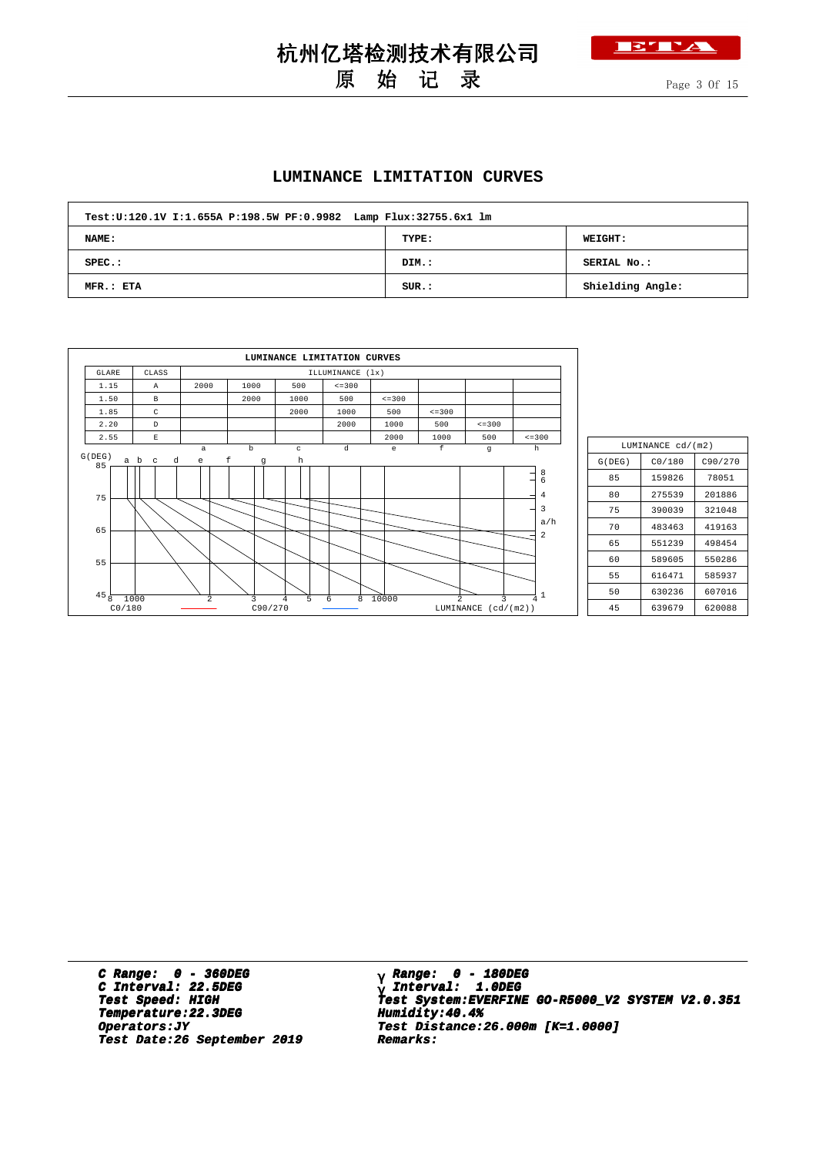

## 原 始 记 录

杭州亿塔检测技术有限公司

Page 3 Of 15

#### **LUMINANCE LIMITATION CURVES**

| Test:U:120.1V I:1.655A P:198.5W PF:0.9982 Lamp Flux:32755.6x1 lm |       |                  |  |  |  |  |  |  |  |  |
|------------------------------------------------------------------|-------|------------------|--|--|--|--|--|--|--|--|
| NAME:                                                            | TYPE: | <b>WEIGHT:</b>   |  |  |  |  |  |  |  |  |
| $SPEC.$ :                                                        | DIM.: | SERIAL No.:      |  |  |  |  |  |  |  |  |
| MFR.: ETA                                                        | SUR.: | Shielding Angle: |  |  |  |  |  |  |  |  |

|                           |                    |          |              | LUMINANCE LIMITATION CURVES |                  |              |                |                          |                                      |
|---------------------------|--------------------|----------|--------------|-----------------------------|------------------|--------------|----------------|--------------------------|--------------------------------------|
| GLARE                     | CLASS              |          |              |                             | ILLUMINANCE (1x) |              |                |                          |                                      |
| 1.15                      | $\mathbb{A}$       | 2000     | 1000         | 500                         | $\leq$ = 300     |              |                |                          |                                      |
| 1.50                      | B                  |          | 2000         | 1000                        | 500              | $\leq$ = 300 |                |                          |                                      |
| 1.85                      | C                  |          |              | 2000                        | 1000             | 500          | $\leq$ = 300   |                          |                                      |
| 2.20                      | $\mathbb{D}$       |          |              |                             | 2000             | 1000         | 500            | $\leq$ = 300             |                                      |
| 2.55                      | $\mathbf{E}% _{0}$ |          |              |                             |                  | 2000         | 1000           | 500                      | $\leq$ = 300                         |
| G(DEG)                    |                    | $\alpha$ | $\mathbf b$  | $\mathbf{C}$                | d                | e            | f              | g                        | h                                    |
| 85<br>75<br>65            | a b                |          | $\mathbf{g}$ | $\mathbf h$                 |                  |              |                |                          | $^8$ 6<br>$\overline{4}$<br>3<br>a/h |
| 55                        |                    |          |              |                             |                  |              |                |                          | 2                                    |
| $45\frac{1}{8}$<br>CO/180 | 1000               | 2        | 3<br>C90/270 | 5<br>4                      | 8<br>6           | 10000        | $\mathfrak{D}$ | 3<br>LUMINANCE (cd/(m2)) | 1<br>4                               |

|        | LUMINANCE cd/(m2) |         |  |  |  |  |  |  |  |  |
|--------|-------------------|---------|--|--|--|--|--|--|--|--|
| G(DEG) | CO/180            | C90/270 |  |  |  |  |  |  |  |  |
| 85     | 159826            | 78051   |  |  |  |  |  |  |  |  |
| 80     | 275539            | 201886  |  |  |  |  |  |  |  |  |
| 75     | 390039            | 321048  |  |  |  |  |  |  |  |  |
| 70     | 483463            | 419163  |  |  |  |  |  |  |  |  |
| 65     | 551239            | 498454  |  |  |  |  |  |  |  |  |
| 60     | 589605            | 550286  |  |  |  |  |  |  |  |  |
| 55     | 616471            | 585937  |  |  |  |  |  |  |  |  |
| 50     | 630236            | 607016  |  |  |  |  |  |  |  |  |
| 45     | 639679            | 620088  |  |  |  |  |  |  |  |  |

**C Range: 0 - 360DEG C Interval: 22.5DEG Temperature:22.3DEG Humidity:40.4% Temperature:22.3DEG Humidity:40.4% Test Date:26 September 2019 Remarks: Date:26 September 2019 Remarks:**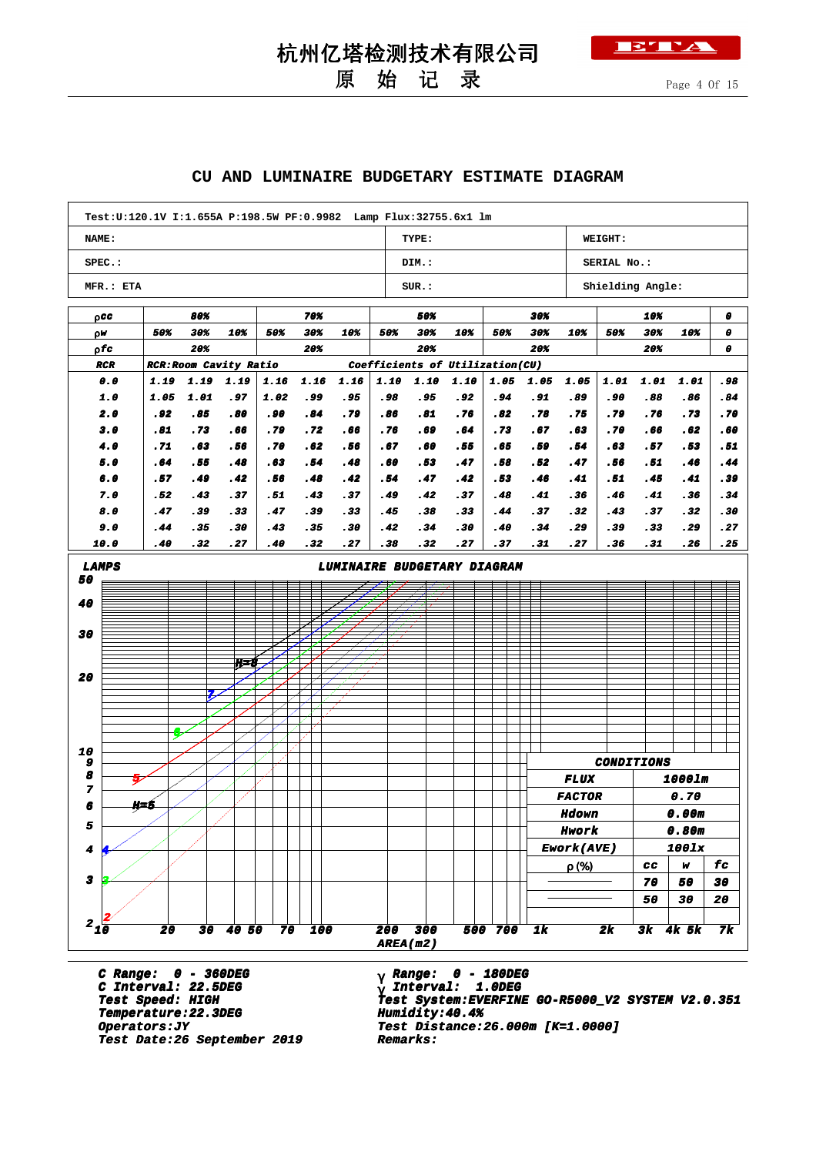

## 原 始 记 录

#### **CU AND LUMINAIRE BUDGETARY ESTIMATE DIAGRAM**

| NAME:                |             |                               |            |             |            | Test:U:120.1V I:1.655A P:198.5W PF:0.9982    Lamp Flux:32755.6x1    lm |            |                      |            |                                 |            |               |                   |            |            |            |
|----------------------|-------------|-------------------------------|------------|-------------|------------|------------------------------------------------------------------------|------------|----------------------|------------|---------------------------------|------------|---------------|-------------------|------------|------------|------------|
|                      |             |                               |            |             |            |                                                                        |            | TYPE:                |            |                                 |            | WEIGHT:       |                   |            |            |            |
| SPEC.:               |             |                               |            |             |            |                                                                        |            | DIM.:<br>SERIAL No.: |            |                                 |            |               |                   |            |            |            |
| MFR.: ETA            |             |                               |            |             |            |                                                                        |            | SUR.:                |            |                                 |            |               | Shielding Angle:  |            |            |            |
| paa                  |             | 80%                           |            |             | 70%        |                                                                        |            | 50%                  |            |                                 | 30%        |               |                   | 10%        |            | 0          |
| ρW                   | 50%         | 30%                           | 10%        | 50%         | 30%        | 10%                                                                    | 50%        | 30%                  | 10%        | 50%                             | 30%        | 10%           | 50%               | 30%        | 10%        | 0          |
| ρfσ                  |             | 20%                           |            |             | 20%        |                                                                        |            | 20%                  |            |                                 | 20%        |               |                   | 20%        |            | 0          |
| <b>RCR</b>           |             | <b>RCR: Room Cavity Ratio</b> |            |             |            |                                                                        |            |                      |            | Coefficients of Utilization(CU) |            |               |                   |            |            |            |
| 0.0                  | 1.19        | 1.19                          | 1.19       | 1.16        | 1.16       | 1.16                                                                   | 1.10       | 1.10                 | 1.10       | 1.05                            | 1.05       | 1.05          | 1.01              | 1.01       | 1.01       | .98        |
| 1.0                  | 1.05        | 1.01                          | . 97       | 1.02        | .99        | . 95                                                                   | .98        | . 95                 | . 92       | . 94                            | . 91       | .89           | .90               | .88        | .86        | .84        |
| 2.0<br>3.0           | . 92<br>.81 | .85<br>.73                    | .80<br>.66 | . 90<br>.79 | .84<br>.72 | .79<br>.66                                                             | .86<br>.76 | .81<br>.69           | .76<br>.64 | .82<br>.73                      | .78<br>.67 | .75<br>.63    | .79<br>.70        | .76<br>.66 | .73<br>.62 | .70<br>.60 |
| 4.0                  | .71         | .63                           | . 56       | .70         | .62        | . 56                                                                   | .67        | .60                  | . 55       | .65                             | . 59       | .54           | .63               | .57        | .53        | .51        |
| 5.0                  | .64         | .55                           | . 48       | .63         | .54        | . 48                                                                   | .60        | .53                  | .47        | .58                             | . 52       | .47           | . 56              | .51        | . 46       | . 44       |
| 6.0                  | . 57        | . 49                          | . 42       | . 56        | .48        | . 42                                                                   | .54        | . 47                 | . 42       | .53                             | . 46       | . 41          | .51               | . 45       | .41        | . 39       |
| 7.0                  | . 52        | . 43                          | . 37       | . 51        | . 43       | . 37                                                                   | .49        | . 42                 | . 37       | . 48                            | . 41       | . 36          | . 46              | . 41       | . 36       | . 34       |
| 8.0                  | .47         | . 39                          | .33        | .47         | .39        | .33                                                                    | .45        | .38                  | . 33       | . 44                            | .37        | .32           | .43               | . 37       | .32        | . 30       |
| 9.0                  | . 44        | . 35                          | . 30       | . 43        | .35        | .30                                                                    | . 42       | .34                  | . 30       | . 40                            | .34        | . 29          | . 39              | . 33       | .29        | .27        |
| 10.0                 | .40         | .32                           | .27        | .40         | .32        | .27                                                                    | .38        | . 32                 | . 27       | .37                             | .31        | .27           | . 36              | . 31       | .26        | .25        |
| 50<br>40<br>30<br>20 |             | 7.                            | H-8        |             |            |                                                                        |            |                      |            |                                 |            |               |                   |            |            |            |
| 10<br>9<br>8         |             |                               |            |             |            |                                                                        |            |                      |            |                                 |            | <b>FLUX</b>   | <b>CONDITIONS</b> |            | 1000lm     |            |
| 7<br>6               | ŋ. 5        |                               |            |             |            |                                                                        |            |                      |            |                                 |            | <b>FACTOR</b> |                   |            | 0.70       |            |
|                      |             |                               |            |             |            |                                                                        |            |                      |            |                                 |            | <b>Hdown</b>  |                   |            | 0.00m      |            |
| 5                    |             |                               |            |             |            |                                                                        |            |                      |            |                                 |            | Hwork         |                   |            | 0.80m      |            |
|                      |             |                               |            |             |            |                                                                        |            |                      |            |                                 |            | Ework(AVE)    |                   |            | 100lx      |            |
|                      |             |                               |            |             |            |                                                                        |            |                      |            |                                 |            | $\rho$ (%)    |                   | cc         | w          | fc         |
|                      |             |                               |            |             |            |                                                                        |            |                      |            |                                 |            |               |                   | 70         | 50         | 30         |
| 4<br>3<br>$2_{10}$   |             |                               |            |             |            |                                                                        |            |                      |            |                                 |            |               |                   | 50         | 30         | 20         |

**C Range: 0 - 360DEG C Interval: 22.5DEG Temperature:22.3DEG Humidity:40.4% Temperature:22.3DEG Humidity:40.4% Test Date:26 September 2019 Remarks: Date:26 September 2019 Remarks:**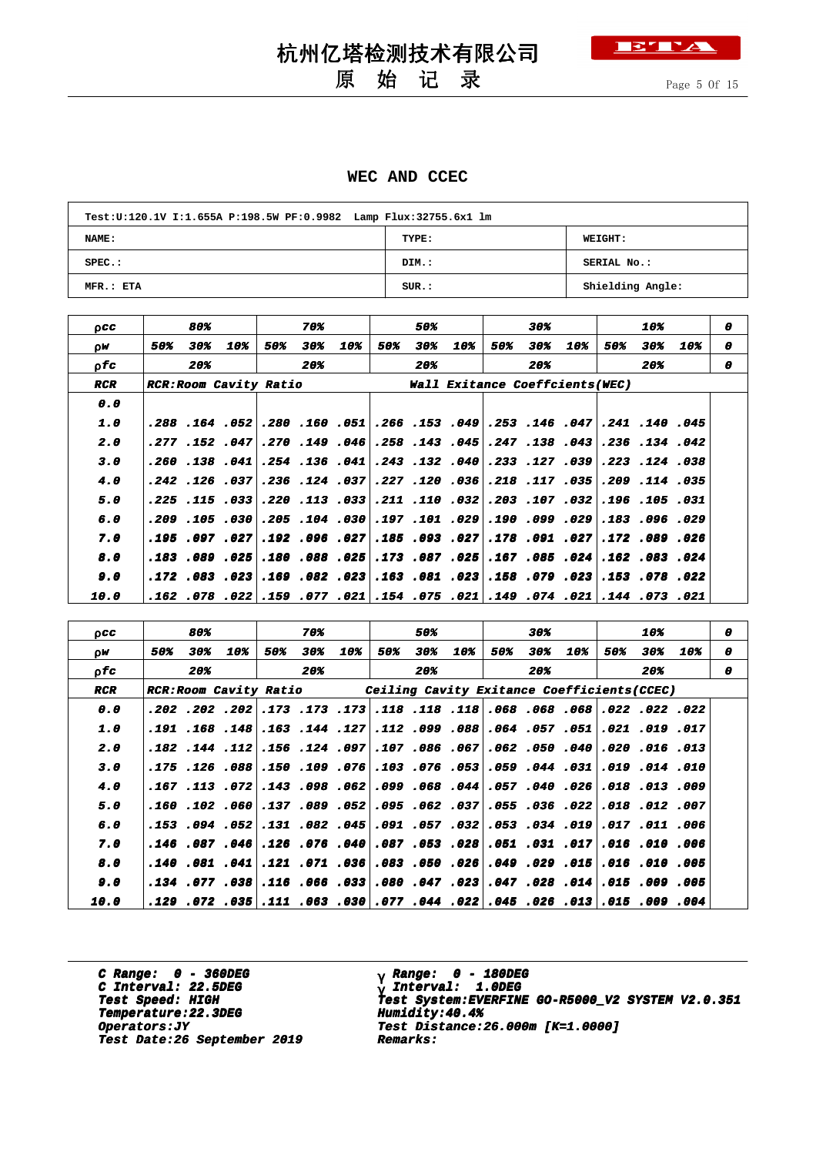

原 始 记 录

Page 5 Of 15

#### **WEC AND CCEC**

| Test:U:120.1V I:1.655A P:198.5W PF:0.9982 Lamp Flux:32755.6x1 lm |       |                  |  |  |  |  |  |  |  |  |  |
|------------------------------------------------------------------|-------|------------------|--|--|--|--|--|--|--|--|--|
| <b>NAME:</b>                                                     | TYPE: | <b>WEIGHT:</b>   |  |  |  |  |  |  |  |  |  |
| $SPEC.$ :                                                        | DIM.: | SERIAL No.:      |  |  |  |  |  |  |  |  |  |
| MFR.: ETA                                                        | SUR.: | Shielding Angle: |  |  |  |  |  |  |  |  |  |

| 0CC                |     | 80% |                              |     | 70% |                                  |     | 50% |                                                             |     | 30% |                |     | 10% |                                                                               | 0 |  |
|--------------------|-----|-----|------------------------------|-----|-----|----------------------------------|-----|-----|-------------------------------------------------------------|-----|-----|----------------|-----|-----|-------------------------------------------------------------------------------|---|--|
| 0W                 | 50% | 30% | 10%                          | 50% | 30% | 10%                              | 50% | 30% | 10%                                                         | 50% | 30% | 10%            | 50% | 30% | 10%                                                                           | 0 |  |
| 0 fc               |     | 20% |                              |     | 20% |                                  |     | 20% |                                                             |     | 20% |                |     | 20% |                                                                               | 0 |  |
| <b>RCR</b>         |     |     | <b>RCR:ROOM Cavity Ratio</b> |     |     |                                  |     |     | <b>Wall Exitance Coeffcients(WEC)</b>                       |     |     |                |     |     |                                                                               |   |  |
| 0.0                |     |     |                              |     |     |                                  |     |     |                                                             |     |     |                |     |     |                                                                               |   |  |
| 1.0                |     |     |                              |     |     |                                  |     |     |                                                             |     |     |                |     |     | ا145. 140. 141. 241. 146. 153. 249. 153. 166. 150. 160. 160. 169. 164. 288.   |   |  |
| 2.0                |     |     |                              |     |     |                                  |     |     | 043، 138، 247، 247، 143، 258، 246، 149، 270، 149، 152، 277، |     |     |                |     |     | .236.134.042                                                                  |   |  |
| 3.0                |     |     |                              |     |     |                                  |     |     | 39، 127، 233، 40، 132، 243، 941، 136، 254، 941، 138، 260،   |     |     |                |     |     | .223 .124 .038                                                                |   |  |
| 4.0                |     |     |                              |     |     | .242.126.236.236.242.242.        |     |     | .227 .120 .036                                              |     |     | .218 .117 .035 |     |     | .209.114.035                                                                  |   |  |
| 5.0                |     |     |                              |     |     | ا033. 113. 220. 033. 115. 225.   |     |     | .211 .110 .032\                                             |     |     | .203 .107 .032 |     |     | .196.105.031                                                                  |   |  |
| 6.0                |     |     |                              |     |     |                                  |     |     | .209. 101. 197 030. 04. 205. 030. 105. 209.                 |     |     | .190.099.029   |     |     | .183.096.029                                                                  |   |  |
| 7.0                |     |     |                              |     |     | ا 027. 096. 192.  027. 097. 195. |     |     | $.185$ .093 .027                                            |     |     | .178 .091 .027 |     |     | .172 .089 .026                                                                |   |  |
| 8.0                |     |     |                              |     |     | .183.089.025 .180.088.025        |     |     |                                                             |     |     |                |     |     | $\,$ .083 .087 .025 .167 .085 .024 .162 .083 .024 .                           |   |  |
| 9.0                |     |     |                              |     |     |                                  |     |     | 230. 079. 158. 232. 081. 233. 233. 082. 163. 083. 172.      |     |     |                |     |     | .153 .078 .022                                                                |   |  |
| <i><b>10.0</b></i> |     |     |                              |     |     |                                  |     |     |                                                             |     |     |                |     |     | .121. 073. 144.  231. 074. 074.  231. 075. 074. 077. 079. 079. 022. 078. 162. |   |  |
|                    |     |     |                              |     |     |                                  |     |     |                                                             |     |     |                |     |     |                                                                               |   |  |

| 0CC        |                                                                                    | 80% |     |     | 70% |     |     | 50% |     |     | 30% |     |     | 10% |     | 0 |
|------------|------------------------------------------------------------------------------------|-----|-----|-----|-----|-----|-----|-----|-----|-----|-----|-----|-----|-----|-----|---|
| 0W         | 50%                                                                                | 30% | 10% | 50% | 30% | 10% | 50% | 30% | 10% | 50% | 30% | 10% | 50% | 30% | 10% | 0 |
| o fa       |                                                                                    | 20% |     |     | 20% |     |     | 20% |     |     | 20% |     |     | 20% |     | o |
| <b>RCR</b> | RCR: Room Cavity Ratio (Ceiling Cavity Exitance Coefficients (CCEC)                |     |     |     |     |     |     |     |     |     |     |     |     |     |     |   |
| 0.0        | 220. 222. 202. 368. 368. 068. 118. 118. 118. 113. 173. 202. 202. 202.              |     |     |     |     |     |     |     |     |     |     |     |     |     |     |   |
| 1.0        | 017. 103. 2021. 2031. 057. 064. 088. 1099. 112. 127. 144. 158. 168. 168. 191. 101. |     |     |     |     |     |     |     |     |     |     |     |     |     |     |   |
| 2.0        | .182 .144 .112, .155 .051, .067 .067 .066 .067 .107 .084 .154 .112 .154 .182 .184  |     |     |     |     |     |     |     |     |     |     |     |     |     |     |   |
| 3.0        | 010. 014. 019. 031. 044. 059. 059. 076. 013. 076. 076. 076. 088. 126. 175.         |     |     |     |     |     |     |     |     |     |     |     |     |     |     |   |
| 4.0        | 009. 13. 018. 026. 040. 057. 058. 068. 099. 062. 057. 143. 072. 113. 167.          |     |     |     |     |     |     |     |     |     |     |     |     |     |     |   |
| 5.0        | 007. 12 218. 222. 236. 255. 257. 262. 263. 255. 269. 157. [160. 102. 160.          |     |     |     |     |     |     |     |     |     |     |     |     |     |     |   |
| 6.0        | 006. 110. 107.  109. 034. 053.  108. 1057. 032. 045. 052. 151.  102. 054. 153.     |     |     |     |     |     |     |     |     |     |     |     |     |     |     |   |
| 7.0        | 006. 1010. 1016. 031. 031. 051. 028. 053. 087. 040. 126. 126. 046. 087. 146.       |     |     |     |     |     |     |     |     |     |     |     |     |     |     |   |
| 8.0        | 005. 100. 206. 206. 209. 209. 206. 206. 208. 206. 2071. 21. 241. 208. 208.         |     |     |     |     |     |     |     |     |     |     |     |     |     |     |   |
| 9.0        | 005. 009. 015. 014. 028. 047. 023. 047. 080. 033. 066. 077. 038. 077. 038.         |     |     |     |     |     |     |     |     |     |     |     |     |     |     |   |
| 10.0       | .004. 009. 15 113. 226. 145 122. 044. 177 130. 163. 111 155. 172                   |     |     |     |     |     |     |     |     |     |     |     |     |     |     |   |

**C Range: 0 - 360DEG C Interval: 22.5DEG Temperature:22.3DEG Humidity:40.4% Temperature:22.3DEG Humidity:40.4% Test Date:26 September 2019 Remarks: Date:26 September 2019 Remarks:**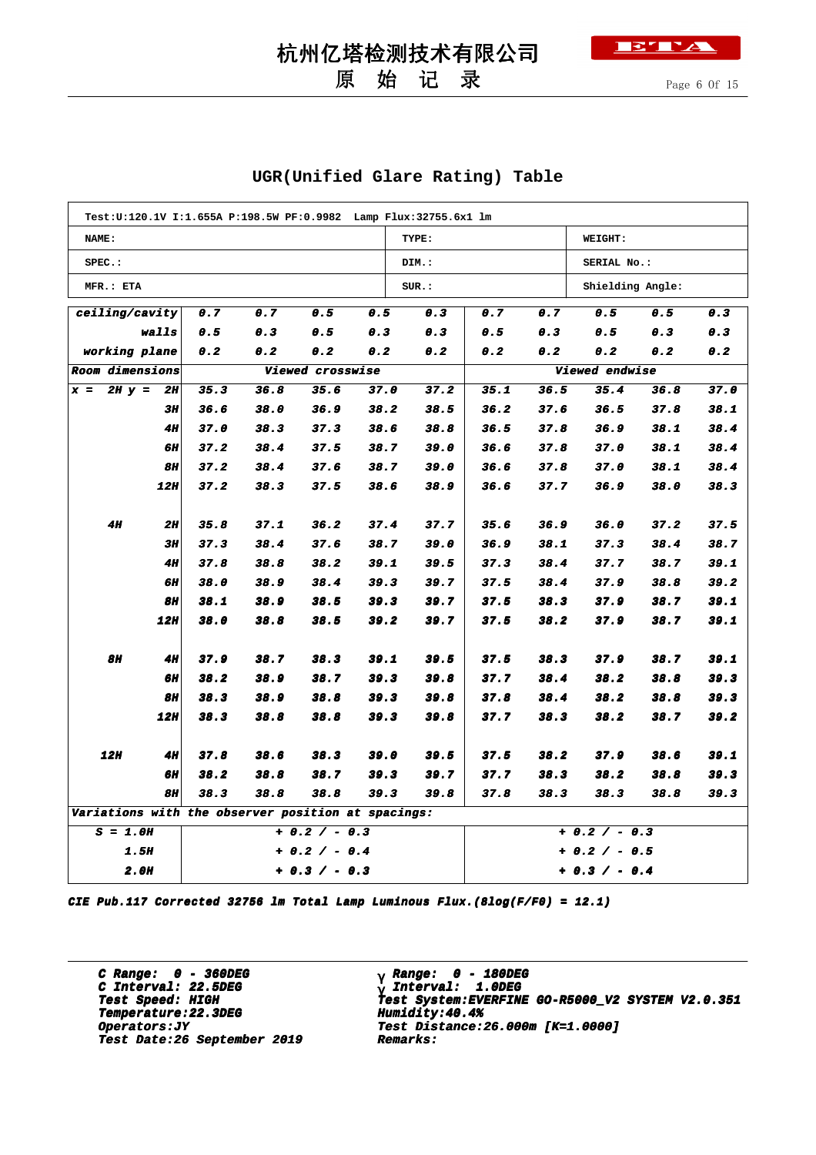## 原 始 记 录



Page 6 Of 15

#### **UGR(Unified Glare Rating) Table**

| Test:U:120.1V I:1.655A P:198.5W PF:0.9982 Lamp Flux:32755.6x1 lm |                                                    |                  |      |      |      |                 |                |      |                  |      |      |  |
|------------------------------------------------------------------|----------------------------------------------------|------------------|------|------|------|-----------------|----------------|------|------------------|------|------|--|
| NAME:                                                            |                                                    |                  |      |      |      | TYPE:           |                |      | WEIGHT:          |      |      |  |
| $SPEC.$ :                                                        |                                                    |                  |      |      |      | DIM.:           |                |      | SERIAL No.:      |      |      |  |
| MFR.: ETA                                                        |                                                    |                  |      |      |      | SUR.:           |                |      | Shielding Angle: |      |      |  |
| ceiling/cavity                                                   |                                                    | 0.7              | 0.7  | 0.5  | 0.5  | 0.3             | 0.7            | 0.7  | 0.5              | 0.5  | 0.3  |  |
| walls                                                            |                                                    | 0.5              | 0.3  | 0.5  | 0.3  | 0.3             | 0.5            | 0.3  | 0.5              | 0.3  | 0.3  |  |
|                                                                  | working plane<br>0.2<br>0.2<br>0.2<br>0.2          |                  |      |      |      | 0.2             | 0.2            | 0.2  | 0.2              | 0.2  | 0.2  |  |
| Room dimensions                                                  |                                                    | Viewed crosswise |      |      |      |                 | Viewed endwise |      |                  |      |      |  |
| $2H y =$<br>$x =$                                                | 2H                                                 | 35.3             | 36.8 | 35.6 | 37.0 | 37.2            | 35.1           | 36.5 | 35.4             | 36.8 | 37.0 |  |
|                                                                  | 3H                                                 | 36.6             | 38.0 | 36.9 | 38.2 | 38.5            | 36.2           | 37.6 | 36.5             | 37.8 | 38.1 |  |
|                                                                  | <b>4H</b>                                          | 37.0             | 38.3 | 37.3 | 38.6 | 38.8            | 36.5           | 37.8 | 36.9             | 38.1 | 38.4 |  |
|                                                                  | 6H                                                 | 37.2             | 38.4 | 37.5 | 38.7 | 39.0            | 36.6           | 37.8 | 37.0             | 38.1 | 38.4 |  |
|                                                                  | <b>8H</b>                                          | 37.2             | 38.4 | 37.6 | 38.7 | 39.0            | 36.6           | 37.8 | 37.0             | 38.1 | 38.4 |  |
|                                                                  | 12H                                                | 37.2             | 38.3 | 37.5 | 38.6 | 38.9            | 36.6           | 37.7 | 36.9             | 38.0 | 38.3 |  |
|                                                                  |                                                    |                  |      |      |      |                 |                |      |                  |      |      |  |
| <b>4H</b>                                                        | <b>2H</b>                                          | 35.8             | 37.1 | 36.2 | 37.4 | 37.7            | 35.6           | 36.9 | 36.0             | 37.2 | 37.5 |  |
|                                                                  | 3H                                                 | 37.3             | 38.4 | 37.6 | 38.7 | 39.0            | 36.9           | 38.1 | 37.3             | 38.4 | 38.7 |  |
|                                                                  | <b>4H</b>                                          | 37.8             | 38.8 | 38.2 | 39.1 | 39.5            | 37.3           | 38.4 | 37.7             | 38.7 | 39.1 |  |
|                                                                  | 6H                                                 | 38.0             | 38.9 | 38.4 | 39.3 | 39.7            | 37.5           | 38.4 | 37.9             | 38.8 | 39.2 |  |
|                                                                  | <b>8H</b>                                          | 38.1             | 38.9 | 38.5 | 39.3 | 39.7            | 37.5           | 38.3 | 37.9             | 38.7 | 39.1 |  |
|                                                                  | 12H                                                | 38.0             | 38.8 | 38.5 | 39.2 | 39.7            | 37.5           | 38.2 | 37.9             | 38.7 | 39.1 |  |
| 8H                                                               | <b>4H</b>                                          | 37.9             | 38.7 | 38.3 | 39.1 | 39.5            | 37.5           | 38.3 | 37.9             | 38.7 | 39.1 |  |
|                                                                  | <b>6H</b>                                          | 38.2             | 38.9 | 38.7 | 39.3 | 39.8            | 37.7           | 38.4 | 38.2             | 38.8 | 39.3 |  |
|                                                                  | <b>8H</b>                                          | 38.3             | 38.9 | 38.8 | 39.3 | 39.8            | 37.8           | 38.4 | 38.2             | 38.8 | 39.3 |  |
|                                                                  | 12H                                                | 38.3             | 38.8 | 38.8 | 39.3 | 39.8            | 37.7           | 38.3 | 38.2             | 38.7 | 39.2 |  |
|                                                                  |                                                    |                  |      |      |      |                 |                |      |                  |      |      |  |
| <b>12H</b>                                                       | <b>4H</b>                                          | 37.8             | 38.6 | 38.3 | 39.0 | 39.5            | 37.5           | 38.2 | 37.9             | 38.6 | 39.1 |  |
|                                                                  | <b>6H</b>                                          | 38.2             | 38.8 | 38.7 | 39.3 | 39.7            | 37.7           | 38.3 | 38.2             | 38.8 | 39.3 |  |
| <b>8H</b><br>38.3<br>38.8<br>38.8<br>39.3                        |                                                    |                  |      |      |      | 39.8            | 37.8           | 38.3 | 38.3             | 38.8 | 39.3 |  |
|                                                                  | Variations with the observer position at spacings: |                  |      |      |      |                 |                |      |                  |      |      |  |
| $S = 1.0H$<br>$+ 0.2 / - 0.3$                                    |                                                    |                  |      |      |      |                 | + 0.2 / - 0.3  |      |                  |      |      |  |
| <b>1.5H</b><br>+ 0.2 / - 0.4                                     |                                                    |                  |      |      |      |                 | + 0.2 / - 0.5  |      |                  |      |      |  |
| <b>2.0H</b><br>$+ 0.3 / - 0.3$                                   |                                                    |                  |      |      |      | $+ 0.3 / - 0.4$ |                |      |                  |      |      |  |

**CIE Pub.117 Corrected 32756 lm Total Lamp Luminous Flux.(8log(F/F0) = 12.1)**

**C Range: 0 - 360DEG C Interval: 22.5DEG Temperature:22.3DEG Humidity:40.4% Temperature:22.3DEG Humidity:40.4% Test Date:26 September 2019 Remarks: Date:26 September 2019 Remarks:**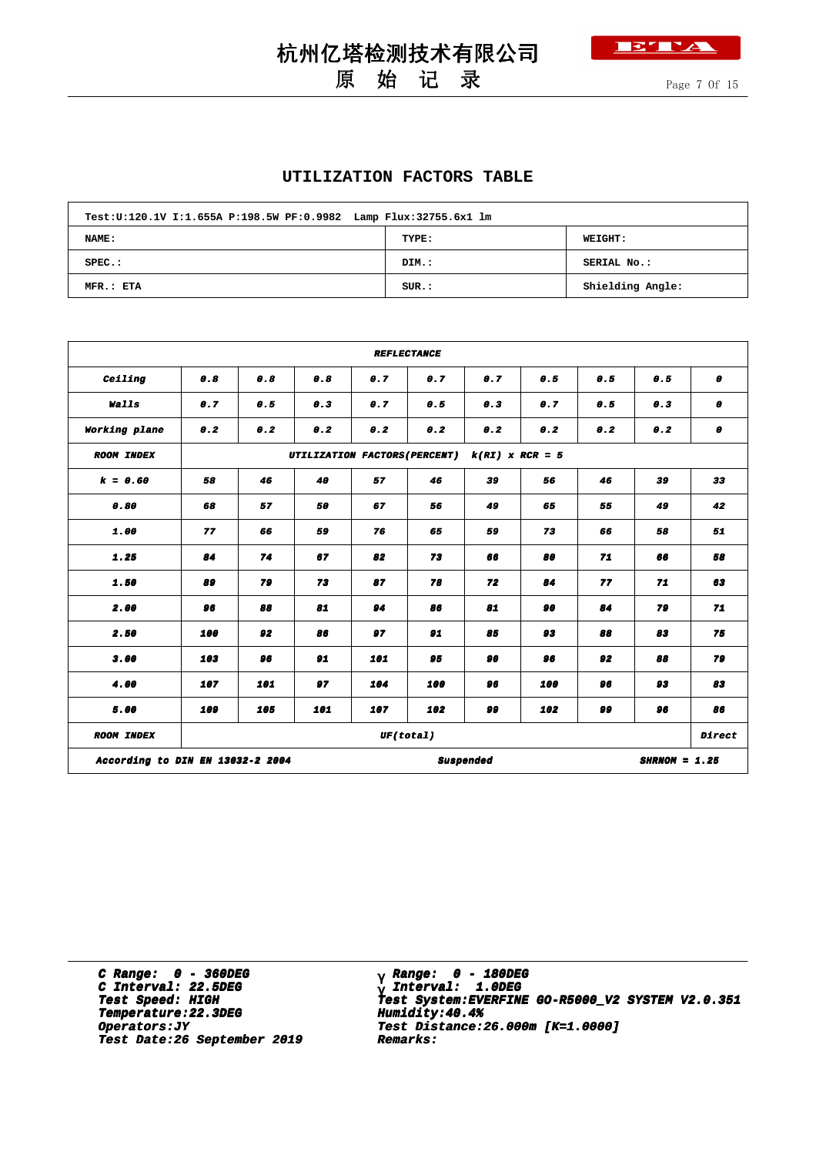

## 杭州亿塔检测技术有限公司 原 始 记 录

#### **UTILIZATION FACTORS TABLE**

| Test: U:120.1V I:1.655A P:198.5W PF: 0.9982 Lamp Flux: 32755.6x1 lm |       |                  |  |  |  |  |  |  |  |  |  |
|---------------------------------------------------------------------|-------|------------------|--|--|--|--|--|--|--|--|--|
| NAME:                                                               | TYPE: | <b>WEIGHT:</b>   |  |  |  |  |  |  |  |  |  |
| $SPEC.$ :                                                           | DIM.: | SERIAL No.:      |  |  |  |  |  |  |  |  |  |
| MFR.: ETA                                                           | SUR.: | Shielding Angle: |  |  |  |  |  |  |  |  |  |

|                                  |     |     |                               |     | <b>REFLECTANCE</b> |                   |     |     |                 |                  |
|----------------------------------|-----|-----|-------------------------------|-----|--------------------|-------------------|-----|-----|-----------------|------------------|
| Ceiling                          | 0.8 | 0.8 | 0.8                           | 0.7 | 0.7                | 0.7               | 0.5 | 0.5 | 0.5             | $\boldsymbol{0}$ |
| Walls                            | 0.7 | 0.5 | 0.3                           | 0.7 | 0.5                | 0.3               | 0.7 | 0.5 | 0.3             | $\boldsymbol{0}$ |
| Working plane                    | 0.2 | 0.2 | 0.2                           | 0.2 | 0.2                | 0.2               | 0.2 | 0.2 | 0.2             | 0                |
| <b>ROOM INDEX</b>                |     |     | UTILIZATION FACTORS (PERCENT) |     |                    | $k(RI)$ x RCR = 5 |     |     |                 |                  |
| $k = 0.60$                       | 58  | 46  | 40                            | 57  | 46                 | 39                | 56  | 46  | 39              | 33               |
| 0.80                             | 68  | 57  | 50                            | 67  | 56                 | 49                | 65  | 55  | 49              | 42               |
| 1.00                             | 77  | 66  | 59                            | 76  | 65                 | 59                | 73  | 66  | 58              | 51               |
| 1.25                             | 84  | 74  | 67                            | 82  | 73                 | 66                | 80  | 71  | 66              | 58               |
| 1.50                             | 89  | 79  | 73                            | 87  | 78                 | 72                | 84  | 77  | 71              | 63               |
| 2.00                             | 96  | 88  | 81                            | 94  | 86                 | 81                | 90  | 84  | 79              | 71               |
| 2.50                             | 100 | 92  | 86                            | 97  | 91                 | 85                | 93  | 88  | 83              | 75               |
| 3.00                             | 103 | 96  | 91                            | 101 | 95                 | 90                | 96  | 92  | 88              | 79               |
| 4.00                             | 107 | 101 | 97                            | 104 | 100                | 96                | 100 | 96  | 93              | 83               |
| 5.00                             | 109 | 105 | 101                           | 107 | 102                | وو                | 102 | وو  | 96              | 86               |
| <b>ROOM INDEX</b>                |     |     |                               |     | UF(total)          |                   |     |     |                 | Direct           |
| According to DIN EN 13032-2 2004 |     |     |                               |     |                    | <b>Suspended</b>  |     |     | $SHRNOM = 1.25$ |                  |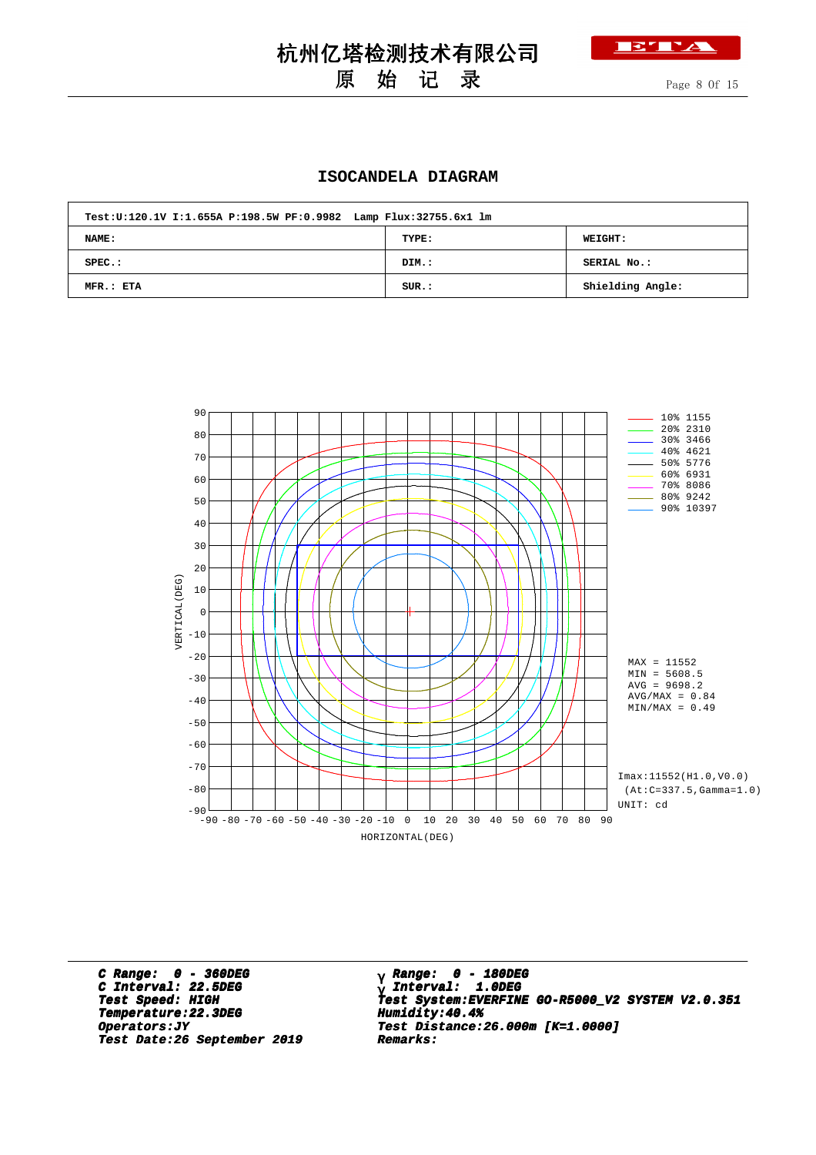

## 原 始 记 录

Page 8 Of 15

#### **ISOCANDELA DIAGRAM**

| Test:U:120.1V I:1.655A P:198.5W PF:0.9982 Lamp Flux:32755.6x1 lm |       |                  |
|------------------------------------------------------------------|-------|------------------|
| NAME:                                                            | TYPE: | <b>WEIGHT:</b>   |
| $SPEC.$ :                                                        | DIM.: | SERIAL No.:      |
| MFR.: ETA                                                        | SUR.: | Shielding Angle: |



**C Range: 0 - 360DEG C Interval: 22.5DEG Temperature:22.3DEG Humidity:40.4% Temperature:22.3DEG Humidity:40.4% Test Date:26 September 2019 Remarks: Date:26 September 2019 Remarks:**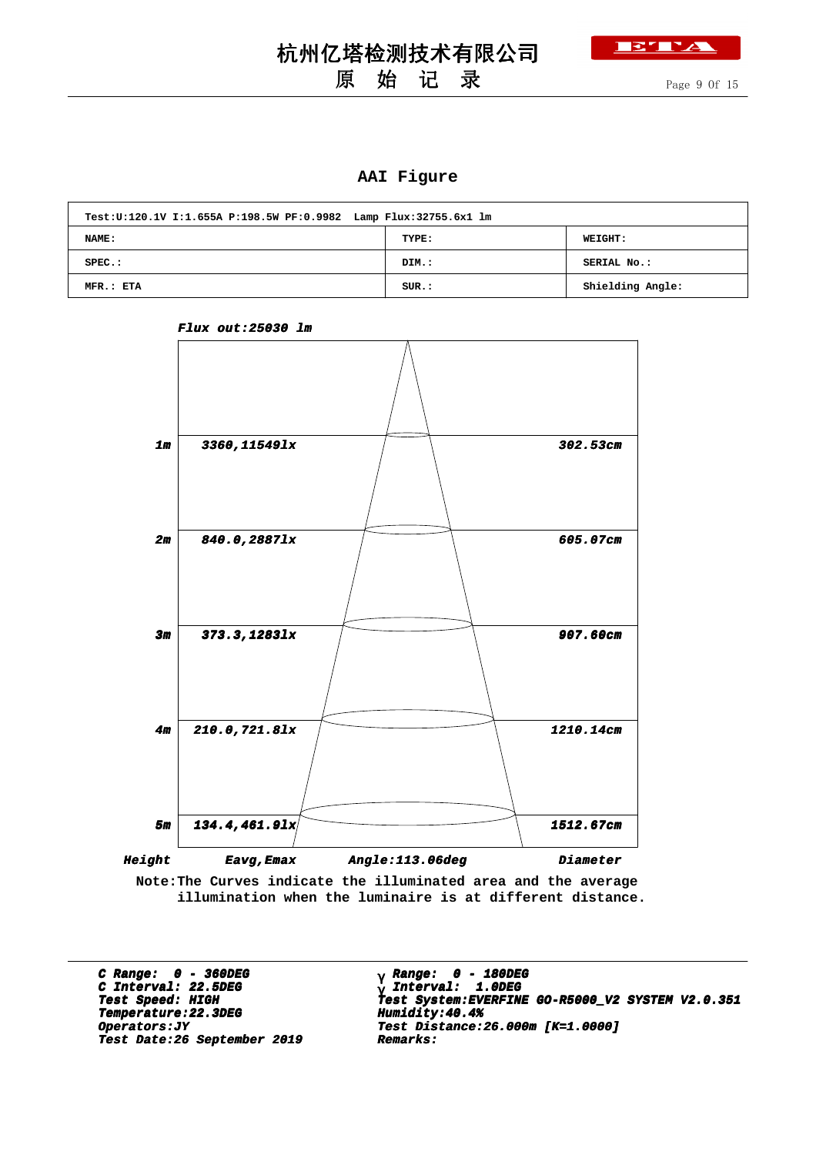## 原 始 记 录

Page 9 Of 15

**BY TA** 

#### **AAI Figure**

| Test:U:120.1V I:1.655A P:198.5W PF:0.9982 Lamp Flux:32755.6x1 lm |       |                  |
|------------------------------------------------------------------|-------|------------------|
| NAME:                                                            | TYPE: | <b>WEIGHT:</b>   |
| $SPEC.$ :                                                        | DIM.: | SERIAL No.:      |
| MFR.: ETA                                                        | SUR.: | Shielding Angle: |



**Flux out:25030 lm**

**Note:The Curves indicate the illuminated area and the average illumination when the luminaire is at different distance.**

**C Range: 0 - 360DEG C Interval: 22.5DEG Temperature:22.3DEG Humidity:40.4% Temperature:22.3DEG Humidity:40.4% Test Date:26 September 2019 Remarks: Date:26 September 2019 Remarks:**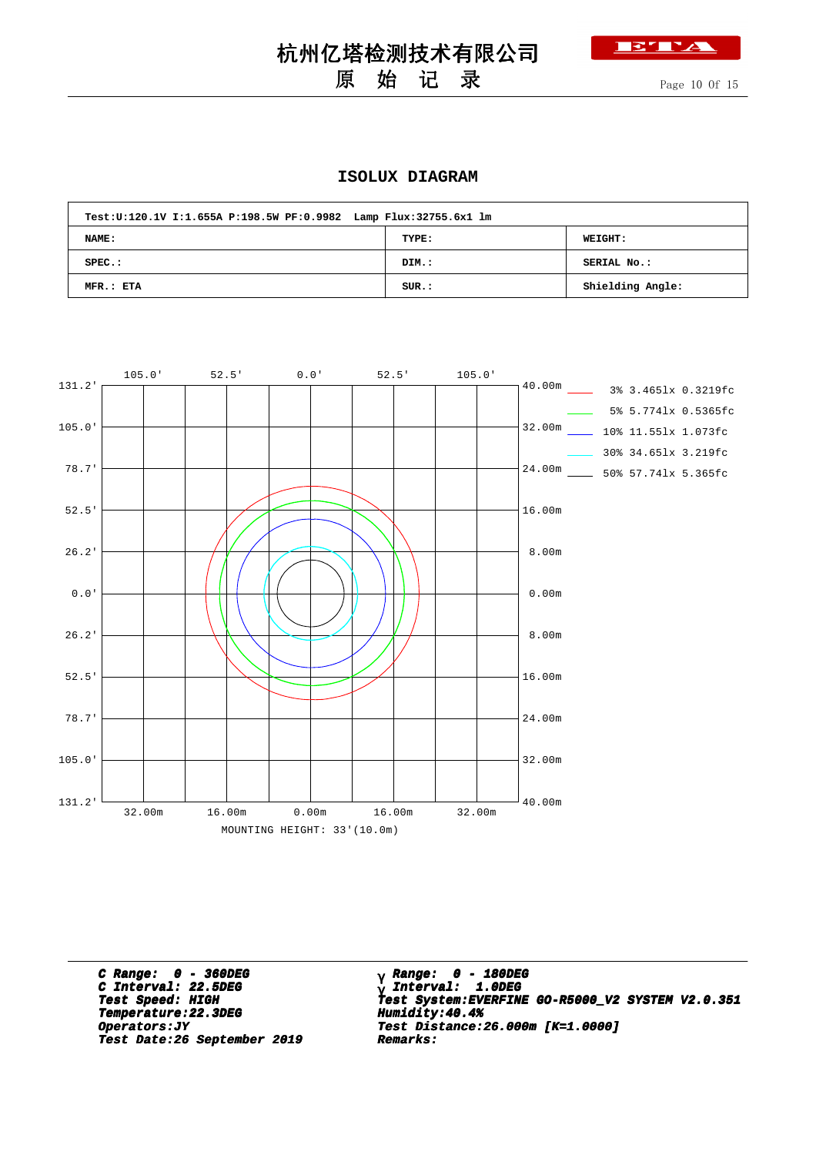#### 杭州亿塔检测技术有限公司 **BY TA**

## 原 始 记 录

Page 10 Of 15

#### **ISOLUX DIAGRAM**

| Test:U:120.1V I:1.655A P:198.5W PF:0.9982 Lamp Flux:32755.6x1 lm |       |                  |
|------------------------------------------------------------------|-------|------------------|
| NAME:                                                            | TYPE: | <b>WEIGHT:</b>   |
| $SPEC.$ :                                                        | DIM.: | SERIAL No.:      |
| MFR.: ETA                                                        | SUR.: | Shielding Angle: |



**C Range: 0 - 360DEG C Interval: 22.5DEG Temperature:22.3DEG Humidity:40.4% Temperature:22.3DEG Humidity:40.4% Test Date:26 September 2019 Remarks: Date:26 September 2019 Remarks:**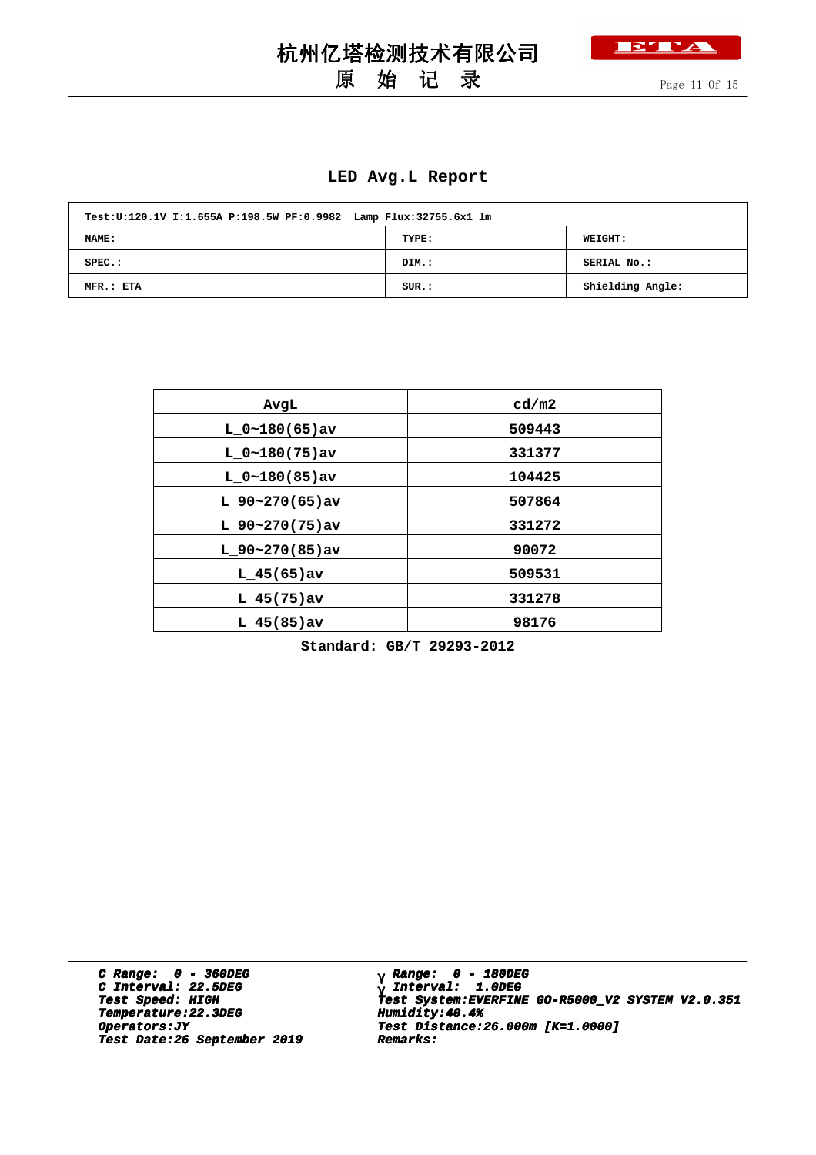

原 始 记 录

Page 11 Of 15

#### **LED Avg.L Report**

| Test:U:120.1V I:1.655A P:198.5W PF:0.9982 Lamp Flux:32755.6x1 lm |       |                  |
|------------------------------------------------------------------|-------|------------------|
| NAME:                                                            | TYPE: | <b>WEIGHT:</b>   |
| $SPEC.$ :                                                        | DIM.: | SERIAL No.:      |
| MFR.: ETA                                                        | SUR.: | Shielding Angle: |

| AvqL              | cd/m2  |
|-------------------|--------|
| $L_0~180(65)$ av  | 509443 |
| $L 0~180(75)$ av  | 331377 |
| $L 0~180(85)$ av  | 104425 |
| $L$ 90~270(65)av  | 507864 |
| $L_90~270(75)$ av | 331272 |
| $L$ 90~270(85)av  | 90072  |
| $L$ 45(65) av     | 509531 |
| $L$ 45(75) av     | 331278 |
| $L$ 45(85) av     | 98176  |

**Standard: GB/T 29293-2012**

**C Range: 0 - 360DEG C Interval: 22.5DEG Temperature:22.3DEG Humidity:40.4%** *Constants:JY* **Test Distance:22.3DEG Test Date:26 September 2019 Remarks: Date:26 September 2019 Remarks:**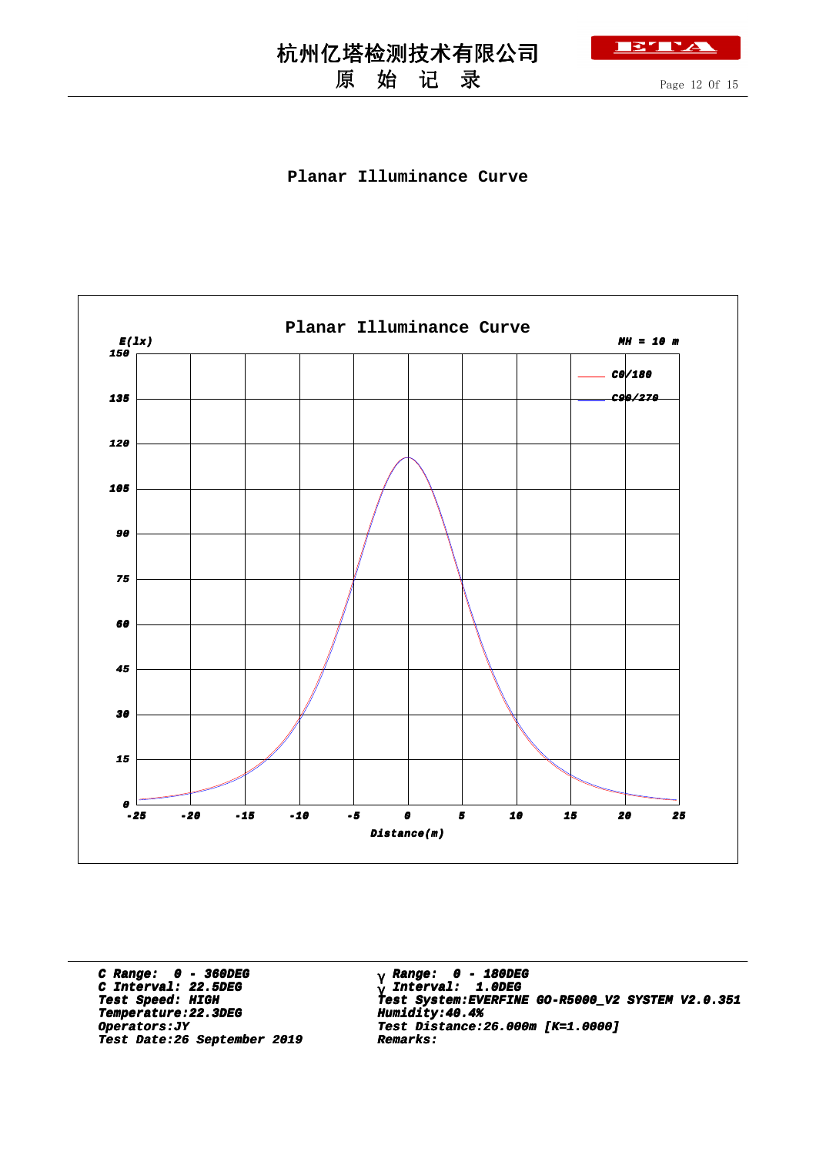## 原 始 记 录

Page 12 Of 15

BLY

#### **Planar Illuminance Curve**



**C Range: 0 - 360DEG C Interval: 22.5DEG Temperature:22.3DEG Humidity:40.4% Temperature:22.3DEG Humidity:40.4% Test Date:26 September 2019 Remarks: Date:26 September 2019 Remarks:**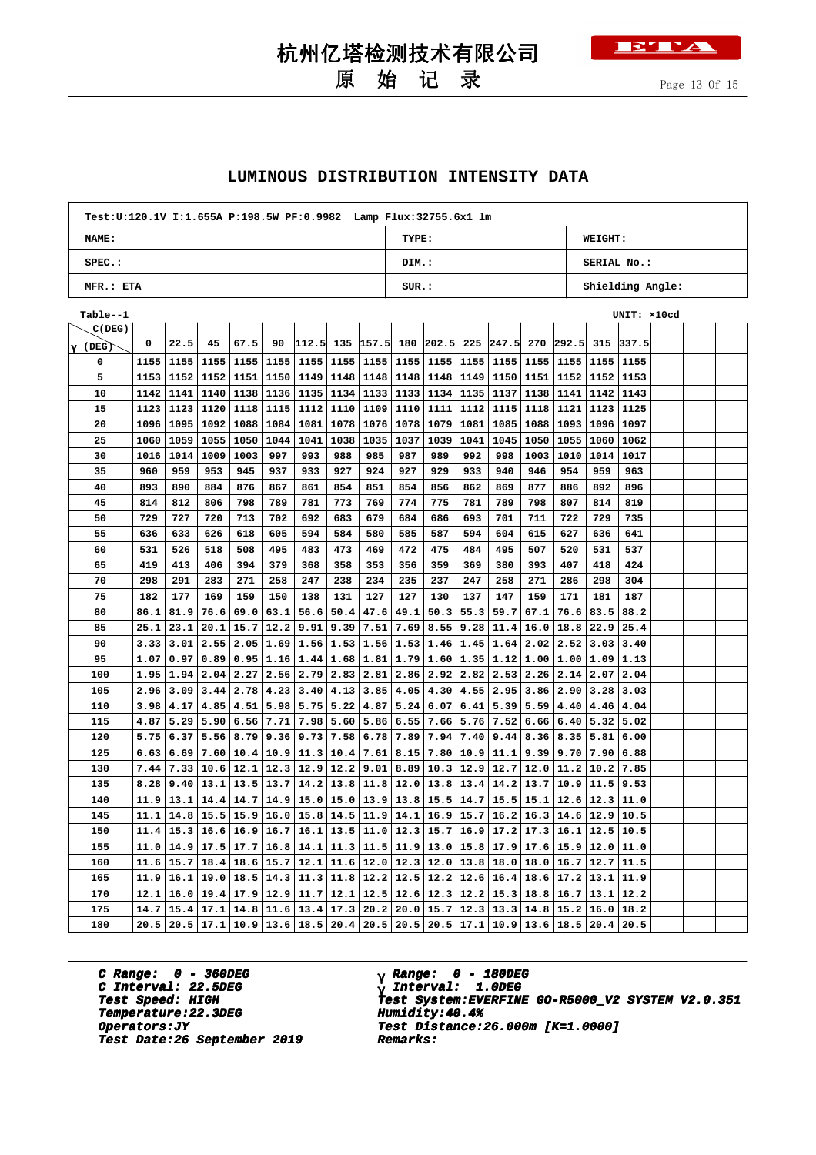## 原 始 记 录

**TETT!** 

#### **LUMINOUS DISTRIBUTION INTENSITY DATA**

| Test: U:120.1V I:1.655A P:198.5W PF: 0.9982 Lamp Flux: 32755.6x1 lm |          |                  |
|---------------------------------------------------------------------|----------|------------------|
| <b>NAME:</b>                                                        | TYPE:    | <b>WEIGHT:</b>   |
| $SPEC.$ :                                                           | DIM.:    | SERIAL No.:      |
| MFR.: ETA                                                           | $SUR$ .: | Shielding Angle: |

| Table--1       |      |      |      |                      |                  |                             |             |             |      |                       |               |                                                     |      |                             |                  | UNIT: x10cd |  |  |
|----------------|------|------|------|----------------------|------------------|-----------------------------|-------------|-------------|------|-----------------------|---------------|-----------------------------------------------------|------|-----------------------------|------------------|-------------|--|--|
| C(DEG)         |      |      |      |                      |                  |                             |             |             |      |                       |               |                                                     |      |                             |                  |             |  |  |
| $\gamma$ (DEG) | 0    | 22.5 | 45   | 67.5                 | 90               |                             |             |             |      |                       |               | $ 112.5 $ 135 $ 157.5 $ 180 $ 202.5 $ 225 $ 247.5 $ |      | 270 292.5                   |                  | 315 337.5   |  |  |
| 0              | 1155 | 1155 | 1155 | 1155   1155          |                  |                             | 1155   1155 | 1155        | 1155 |                       |               | 1155   1155   1155   1155                           |      |                             | $1155$   1155    | 1155        |  |  |
| 5              | 1153 | 1152 | 1152 | 1151                 | 1150             | 1149                        | 1148        | 1148        | 1148 | 1148                  | 1149          | 1150                                                | 1151 | 1152                        | 1152             | 1153        |  |  |
| 10             | 1142 | 1141 |      | 1140   1138   1136   |                  | 1135                        | 1134        | 1133        | 1133 |                       | $1134$   1135 | 1137                                                | 1138 |                             | $1141$   1142    | 1143        |  |  |
| 15             | 1123 | 1123 | 1120 |                      | 1118   1115      | 1112                        | 1110        | 1109        | 1110 | 1111                  | 1112          | 1115                                                | 1118 | 1121                        | 1123             | 1125        |  |  |
| 20             | 1096 | 1095 |      | 1092 1088            | 1084             | 1081                        | 1078        | 1076        | 1078 | 1079                  | 1081          | 1085                                                | 1088 | 1093 1096                   |                  | 1097        |  |  |
| 25             | 1060 | 1059 | 1055 | 1050                 | 1044             | 1041                        | 1038        | 1035        | 1037 | 1039                  | 1041          | 1045                                                | 1050 | 1055                        | 1060             | 1062        |  |  |
| 30             | 1016 | 1014 | 1009 | 1003                 | 997              | 993                         | 988         | 985         | 987  | 989                   | 992           | 998                                                 | 1003 | 1010                        | 1014             | 1017        |  |  |
| 35             | 960  | 959  | 953  | 945                  | 937              | 933                         | 927         | 924         | 927  | 929                   | 933           | 940                                                 | 946  | 954                         | 959              | 963         |  |  |
| 40             | 893  | 890  | 884  | 876                  | 867              | 861                         | 854         | 851         | 854  | 856                   | 862           | 869                                                 | 877  | 886                         | 892              | 896         |  |  |
| 45             | 814  | 812  | 806  | 798                  | 789              | 781                         | 773         | 769         | 774  | 775                   | 781           | 789                                                 | 798  | 807                         | 814              | 819         |  |  |
| 50             | 729  | 727  | 720  | 713                  | 702              | 692                         | 683         | 679         | 684  | 686                   | 693           | 701                                                 | 711  | 722                         | 729              | 735         |  |  |
| 55             | 636  | 633  | 626  | 618                  | 605              | 594                         | 584         | 580         | 585  | 587                   | 594           | 604                                                 | 615  | 627                         | 636              | 641         |  |  |
| 60             | 531  | 526  | 518  | 508                  | 495              | 483                         | 473         | 469         | 472  | 475                   | 484           | 495                                                 | 507  | 520                         | 531              | 537         |  |  |
| 65             | 419  | 413  | 406  | 394                  | 379              | 368                         | 358         | 353         | 356  | 359                   | 369           | 380                                                 | 393  | 407                         | 418              | 424         |  |  |
| 70             | 298  | 291  | 283  | 271                  | 258              | 247                         | 238         | 234         | 235  | 237                   | 247           | 258                                                 | 271  | 286                         | 298              | 304         |  |  |
| 75             | 182  | 177  | 169  | 159                  | 150              | 138                         | 131         | 127         | 127  | 130                   | 137           | 147                                                 | 159  | 171                         | 181              | 187         |  |  |
| 80             | 86.1 | 81.9 | 76.6 | 69.0                 | 63.1             | 56.6                        | 50.4        | 47.6        | 49.1 | 50.3                  | 55.3          | 59.7                                                | 67.1 | 76.6                        | 83.5             | 88.2        |  |  |
| 85             | 25.1 | 23.1 | 20.1 | 15.7                 | 12.2             | 9.91                        | 9.39        | 7.51        | 7.69 | 8.55                  | 9.28          | 11.4                                                | 16.0 | 18.8                        | 22.9             | 25.4        |  |  |
| 90             | 3.33 | 3.01 | 2.55 | 2.05                 | 1.69             | 1.56                        | 1.53        | 1.56        | 1.53 | 1.46                  | 1.45          | 1.64                                                | 2.02 | 2.52                        | 3.03             | 3.40        |  |  |
| 95             | 1.07 | 0.97 | 0.89 |                      | 0.95 1.16        | 1.44                        | 1.68        | 1.81        | 1.79 |                       |               | $1.60$   $1.35$   $1.12$   $1.00$                   |      |                             | 1.00 1.09        | 1.13        |  |  |
| 100            | 1.95 | 1.94 | 2.04 | 2.27                 | 2.56             | 2.79                        | 2.83        | 2.81        | 2.86 | 2.92                  | 2.82          | $2.53 \mid 2.26$                                    |      |                             | $2.14$   2.07    | 2.04        |  |  |
| 105            | 2.96 | 3.09 | 3.44 |                      | $2.78 \mid 4.23$ | 3.40                        | 4.13        | 3.85        | 4.05 | 4.30                  | 4.55          | 2.95                                                | 3.86 | 2.90                        | 3.28             | 3.03        |  |  |
| 110            | 3.98 | 4.17 | 4.85 | 4.51                 | 5.98             | 5.75                        | 5.22        | 4.87        | 5.24 | 6.07                  | 6.41          | 5.39                                                | 5.59 | 4.40                        | 4.46             | 4.04        |  |  |
| 115            | 4.87 | 5.29 | 5.90 |                      | $6.56$ 7.71      | 7.98                        | 5.60        | 5.86        | 6.55 | 7.66                  | 5.76          | 7.52                                                | 6.66 | 6.40                        | 5.32             | 5.02        |  |  |
| 120            | 5.75 | 6.37 | 5.56 |                      | $8.79$ 9.36      | 9.73                        | 7.58        | 6.78        | 7.89 | 7.94                  | 7.40          | $9.44 \mid 8.36$                                    |      | 8.35                        | 5.81             | 6.00        |  |  |
| 125            | 6.63 | 6.69 | 7.60 |                      | 10.4 10.9        | 11.3                        | 10.4        | 7.61        | 8.15 | 7.80                  | 10.9          | 11.1                                                | 9.39 | $9.70$ 7.90                 |                  | 6.88        |  |  |
| 130            | 7.44 | 7.33 |      | $10.6$   12.1   12.3 |                  | 12.9                        | 12.2        | 9.01        | 8.89 | 10.3                  | 12.9          | $12.7$ 12.0                                         |      | $11.2$   $10.2$             |                  | 7.85        |  |  |
| 135            | 8.28 | 9.40 | 13.1 |                      | $13.5$   13.7    | 14.2                        | 13.8        | 11.8        | 12.0 | 13.8                  | 13.4          | $14.2$ 13.7                                         |      |                             | $10.9$   11.5    | 9.53        |  |  |
| 140            | 11.9 | 13.1 |      | $14.4$   14.7   14.9 |                  | 15.0                        | 15.0        | 13.9        | 13.8 | 15.5                  | 14.7          | $15.5$   15.1                                       |      |                             | $12.6 \mid 12.3$ | 11.0        |  |  |
| 145            | 11.1 | 14.8 |      |                      |                  | $15.5$   15.9   16.0   15.8 | 14.5        | 11.9        | 14.1 | 16.9                  | 15.7          |                                                     |      | $16.2$   16.3   14.6   12.9 |                  | 10.5        |  |  |
| 150            | 11.4 | 15.3 | 16.6 |                      | 16.9 16.7        | 16.1                        | 13.5        | 11.0        | 12.3 | 15.7                  | 16.9          | 17.2                                                | 17.3 | $16.1$   12.5               |                  | 10.5        |  |  |
| 155            | 11.0 | 14.9 |      | $17.5$ 17.7   16.8   |                  | 14.1                        | 11.3        | 11.5        | 11.9 | 13.0                  | 15.8          | 17.9                                                | 17.6 | $15.9$   12.0               |                  | 11.0        |  |  |
| 160            | 11.6 | 15.7 | 18.4 |                      | 18.6 15.7        | 12.1                        | 11.6        | 12.0        | 12.3 | 12.0                  | 13.8          | 18.0                                                | 18.0 |                             | $16.7$ 12.7      | 11.5        |  |  |
| 165            | 11.9 | 16.1 |      | $19.0$   18.5   14.3 |                  | 11.3                        | 11.8        | $12.2$ 12.5 |      |                       | $12.2$ 12.6   | $16.4$ 18.6                                         |      | $17.2$   13.1               |                  | 11.9        |  |  |
| 170            | 12.1 | 16.0 | 19.4 |                      | $17.9$   12.9    | 11.7                        | 12.1        | 12.5        | 12.6 |                       | $12.3$ 12.2   | 15.3 18.8                                           |      | 16.7                        | 13.1             | 12.2        |  |  |
| 175            | 14.7 | 15.4 |      | $17.1$   14.8   11.6 |                  | 13.4                        | 17.3        | 20.2        | 20.0 |                       | $15.7$   12.3 | $13.3 \mid 14.8$                                    |      | $15.2$   16.0               |                  | 18.2        |  |  |
| 180            | 20.5 | 20.5 | 17.1 |                      |                  | $10.9$  13.6 18.5           | 20.4        |             |      | $20.5$ 20.5 20.5 17.1 |               |                                                     |      | $10.9$   13.6   18.5   20.4 |                  | 20.5        |  |  |

**C Range: 0 - 360DEG C Interval: 22.5DEG Temperature:22.3DEG Humidity:40.4% Temperature:22.3DEG Humidity:40.4% Test Date:26 September 2019 Remarks: Date:26 September 2019 Remarks:**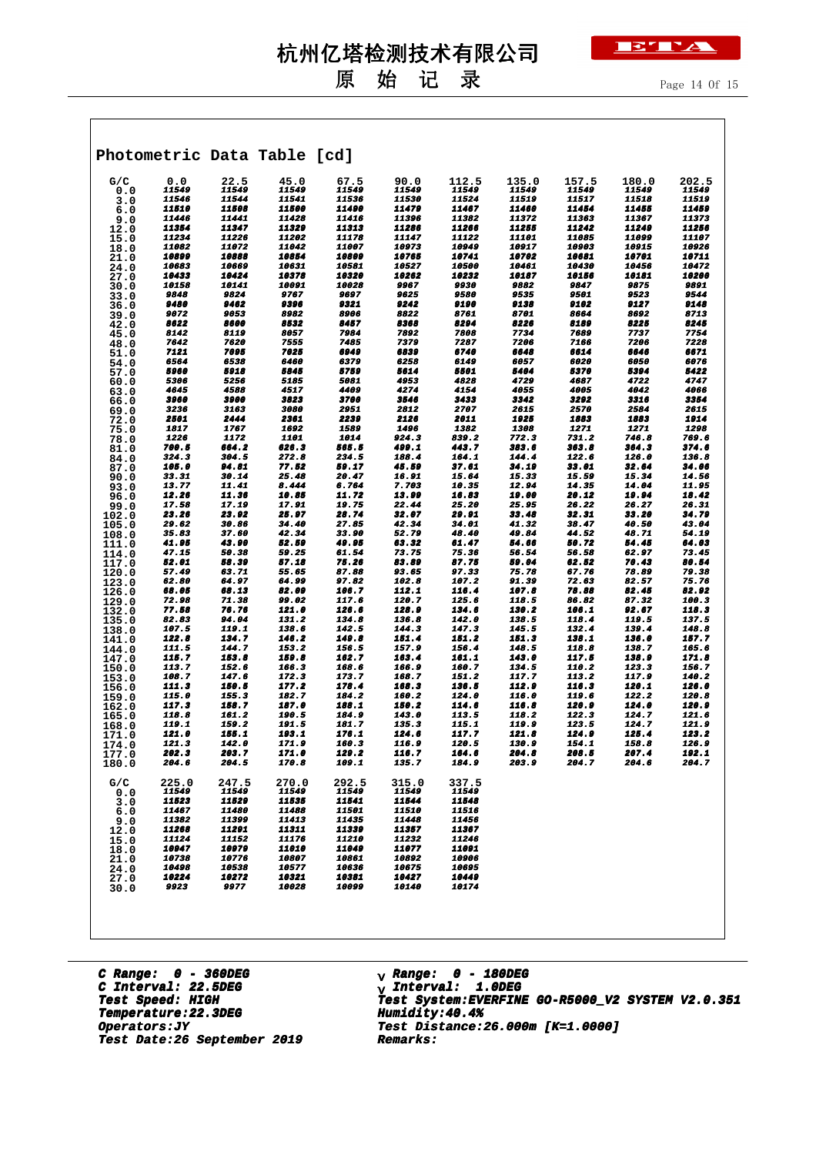## 原 始 记 录

|                |                |                    | Photometric Data Table [cd] |                     |                |                |                              |                              |                |                              |
|----------------|----------------|--------------------|-----------------------------|---------------------|----------------|----------------|------------------------------|------------------------------|----------------|------------------------------|
| G/C            | 0.0            | 22.5               | 45.0                        | 67.5                | 90.0           | 112.5          | 135.0                        | 157.5                        | 180.0          | 202.5                        |
| 0.0<br>3.0     | 11549<br>11546 | 11549<br>11544     | 11549<br>11541              | 11549<br>11536      | 11549<br>11530 | 11549<br>11524 | 11549<br>11519               | 11549<br>11517               | 11549<br>11518 | 11549<br><i><b>11519</b></i> |
| 6.0            | 11510          | 11508              | 11500                       | <b>11490</b>        | 11479          | 11467          | 11460                        | 11454                        | 11455          | 11459                        |
| 9.0            | 11446          | 11441              | 11428                       | 11416               | 11396          | 11382          | 11372                        | 11363                        | 11367          | 11373                        |
| 12.0           | 11354<br>11234 | 11347<br>11226     | 11329<br>11202              | 11313<br>11178      | 11286<br>11147 | 11266<br>11122 | 11255<br>11101               | 11242<br><i><b>11085</b></i> | 11249<br>11099 | 11256<br>11107               |
| 15.0<br>18.0   | 11082          | 11072              | 11042                       | 11007               | 10973          | 10949          | 10917                        | 10903                        | 10915          | 10926                        |
| 21.0           | 10899          | 10888              | 10854                       | <i><b>10809</b></i> | 10765          | 10741          | 10702                        | 10681                        | 10701          | 10711                        |
| 24.0           | 10683          | 10669              | 10631                       | 10581               | 10527          | 10500          | 10461                        | 10430                        | 10456          | 10472                        |
| 27.0<br>30.0   | 10433<br>10158 | 10424<br>10141     | 10378<br>10091              | 10320<br>10028      | 10262<br>9967  | 10232<br>9930  | 10187<br>9882                | 10156<br>9847                | 10181<br>9875  | 10200<br>9891                |
| 33.0           | 9848           | 9824               | 9767                        | 9697                | 9625           | 9580           | 9535                         | 9501                         | 9523           | 9544                         |
| 36.0           | 9480           | 9462               | 9396                        | 9321                | 9242           | 9190           | 9138                         | 9102                         | 9127           | 9148                         |
| 39.0           | 9072<br>8622   | 9053<br>8600       | 8982<br>8532                | 8906<br>8457        | 8822<br>8368   | 8761<br>8294   | 8701<br>8226                 | 8664<br>8189                 | 8692<br>8225   | 8713<br>8245                 |
| 42.0<br>45.0   | 8142           | <i><b>8119</b></i> | 8057                        | 7984                | 7892           | 7808           | 7734                         | 7689                         | 7737           | 7754                         |
| 48.0           | 7642           | 7620               | 7555                        | 7485                | 7379           | 7287           | 7206                         | 7166                         | 7206           | 7228                         |
| 51.0           | 7121           | 7095               | 7025                        | 6949                | 6839           | 6740           | 6648                         | 6614                         | 6646           | 6671                         |
| 54.0<br>57.0   | 6564<br>5960   | 6538<br>5918       | 6460<br>5845                | 6379<br>5759        | 6258<br>5614   | 6149<br>5501   | 6057<br>5404                 | 6020<br>5370                 | 6050<br>5394   | 6076<br>5422                 |
| 60.0           | 5306           | 5256               | 5185                        | 5081                | 4953           | 4828           | 4729                         | 4687                         | 4722           | 4747                         |
| 63.0           | 4645           | 4588               | 4517                        | 4409                | 4274           | 4154           | 4055                         | 4005                         | 4042           | 4066                         |
| 66.0           | 3960<br>3236   | 3900<br>3163       | 3823<br>3080                | 3700<br>2951        | 3546<br>2812   | 3433<br>2707   | 3342<br>2615                 | 3292<br>2570                 | 3316<br>2584   | 3354<br>2615                 |
| 69.0<br>72.0   | 2501           | 2444               | 2361                        | 2239                | 2126           | 2011           | 1925                         | 1883                         | 1883           | 1914                         |
| 75.0           | 1817           | 1767               | 1692                        | 1589                | 1496           | 1382           | 1308                         | 1271                         | 1271           | 1298                         |
| 78.0           | 1226           | 1172               | 1101                        | 1014                | 924.3          | 839.2          | 772.3                        | 731.2                        | 746.8          | 769.6                        |
| 81.0           | 700.5<br>324.3 | 664.2<br>304.5     | 626.3<br>272.8              | 565.5<br>234.5      | 499.1<br>188.4 | 443.7<br>164.1 | 383.6<br>144.4               | 363.8<br>122.6               | 364.3<br>126.0 | 374.6<br>136.8               |
| 84.0<br>87.0   | 105.0          | 94.81              | 77.52                       | 59.17               | 45.59          | 37.61          | 34.19                        | 33.01                        | 32.64          | 34.06                        |
| 90.0           | 33.31          | 30.14              | 25.48                       | 20.47               | 16.91          | 15.64          | 15.33                        | 15.59                        | 15.34          | 14.56                        |
| 93.0           | 13.77<br>12.26 | 11.41              | 8.444                       | 6.764               | 7.703          | 10.35          | 12.94                        | 14.35<br>20.12               | 14.04          | 11.95                        |
| 96.0<br>99.0   | 17.58          | 11.36<br>17.19     | 10.85<br>17.91              | 11.72<br>19.75      | 13.99<br>22.44 | 16.83<br>25.20 | <i><b>19.00</b></i><br>25.95 | 26.22                        | 19.94<br>26.27 | 18.42<br>26.31               |
| 102.0          | 23.26          | 23.92              | 25.97                       | 28.74               | 32.07          | 29.91          | 33.48                        | 32.31                        | 33.20          | 34.79                        |
| 105.0          | 29.62          | 30.86              | 34.40                       | 27.85               | 42.34          | 34.01          | 41.32                        | 38.47                        | 40.50          | 43.04                        |
| 108.0          | 35.83<br>41.95 | 37.60<br>43.90     | 42.34<br>52.59              | 33.90<br>49.95      | 52.79<br>63.32 | 48.40<br>61.47 | 49.84<br>54.66               | 44.52<br>50.72               | 48.71<br>54.45 | 54.19<br>64.03               |
| 111.0<br>114.0 | 47.15          | 50.38              | 59.25                       | 61.54               | 73.75          | 75.36          | 56.54                        | 56.58                        | 62.97          | 73.45                        |
| 117.0          | 52.01          | 58.39              | 57.18                       | 75.26               | 83.89          | 87.75          | 59.04                        | 62.52                        | 70.43          | 80.54                        |
| 120.0          | 57.49<br>62.80 | 63.71<br>64.97     | 55.65<br>64.99              | 87.88<br>97.82      | 93.65          | 97.33<br>107.2 | 75.78<br>91.39               | 67.76<br>72.63               | 78.89          | 79.38<br>75.76               |
| 123.0<br>126.0 | 68.05          | 68.13              | 82.09                       | 106.7               | 102.8<br>112.1 | 116.4          | 107.8                        | 78.88                        | 82.57<br>82.45 | 82.92                        |
| 129.0          | 72.98          | 71.38              | 99.02                       | 117.6               | 120.7          | 125.6          | 118.5                        | 86.82                        | 87.32          | 100.3                        |
| 132.0          | 77.58          | 76.76              | 121.0                       | 126.6               | 128.9          | 134.6          | 130.2                        | 106.1                        | 92.67          | 118.3                        |
| 135.0<br>138.0 | 82.83<br>107.5 | 94.04<br>119.1     | 131.2<br>138.6              | 134.8<br>142.5      | 136.8<br>144.3 | 142.0<br>147.3 | 138.5<br>145.5               | 118.4<br>132.4               | 119.5<br>139.4 | 137.5<br>148.8               |
| 141.0          | 122.8          | 134.7              | 146.2                       | 149.8               | 151.4          | 151.2          | 151.3                        | 138.1                        | 136.0          | 157.7                        |
| 144.0          | 111.5          | 144.7              | 153.2                       | 156.5               | 157.9          | 156.4          | 148.5                        | 118.8                        | 138.7          | 165.6                        |
| 147.0          | 115.7<br>113.7 | 153.8<br>152.6     | 159.8<br>166.3              | 162.7<br>168.6      | 163.4<br>166.9 | 161.1<br>160.7 | 143.0<br>134.5               | 117.5<br>110.2               | 138.9<br>123.3 | 171.8<br>156.7               |
| 150.0<br>153.0 | 108.7          | 147.6              | 172.3                       | 173.7               | 168.7          | 151.2          | 117.7                        | 113.2                        | 117.9          | 140.2                        |
| 156.0          | 111.3          | 150.5              | 177.2                       | 178.4               | 168.3          | 136.5          | 112.9                        | 116.3                        | 120.1          | 126.0                        |
| 159.0          | 115.0<br>117.3 | 155.3<br>158.7     | 182.7<br>187.0              | 184.2<br>188.1      | 160.2<br>150.2 | 124.0<br>114.6 | 116.0<br>116.8               | 119.6<br>120.9               | 122.2<br>124.0 | 120.8<br>120.9               |
| 162.0<br>165.0 | 118.8          | 161.2              | 190.5                       | 184.9               | 143.0          | 113.5          | 118.2                        | 122.3                        | 124.7          | 121.6                        |
| 168.0          | 119.1          | 159.2              | 191.5                       | 181.7               | 135.3          | 115.1          | 119.9                        | 123.5                        | 124.7          | 121.9                        |
| 171.0          | 121.0          | ,,,,,              | 193.1                       | 176.1               | 124.6          | 117.7          | 121.8                        | 124.9                        | 125.4          | 123.2                        |
| 174.0<br>177.0 | 121.3<br>202.3 | 142.0<br>203.7     | 171.9<br>171.0              | 160.3<br>129.2      | 116.9<br>116.7 | 120.5<br>164.6 | 130.9<br>204.8               | 154.1<br>208.5               | 158.8<br>207.4 | 126.9<br>192.1               |
| 180.0          | 204.6          | 204.5              | 170.8                       | 109.1               | 135.7          | 184.9          | 203.9                        | 204.7                        | 204.6          | 204.7                        |
|                |                |                    |                             |                     |                |                |                              |                              |                |                              |
| G/C<br>0.0     | 225.0<br>11549 | 247.5<br>11549     | 270.0<br>11549              | 292.5<br>11549      | 315.0<br>11549 | 337.5<br>11549 |                              |                              |                |                              |
| 3.0            | 11523          | 11529              | 11535                       | 11541               | 11544          | 11548          |                              |                              |                |                              |
| 6.0            | 11467          | 11480              | 11488                       | 11501               | 11510          | 11516          |                              |                              |                |                              |
| 9.0<br>12.0    | 11382<br>11268 | 11399<br>11291     | 11413<br>11311              | 11435<br>11339      | 11448<br>11357 | 11456<br>11367 |                              |                              |                |                              |
| 15.0           | 11124          | 11152              | 11176                       | 11210               | 11232          | 11246          |                              |                              |                |                              |
| 18.0           | 10947          | 10979              | 11010                       | 11049               | 11077          | 11091          |                              |                              |                |                              |
| 21.0           | 10738<br>10498 | 10776<br>10538     | 10807<br>10577              | 10861<br>10636      | 10892<br>10675 | 10906<br>10695 |                              |                              |                |                              |
| 24.0<br>27.0   | 10224          | 10272              | 10321                       | 10381               | 10427          | 10449          |                              |                              |                |                              |
| 30.0           | 9923           | 9977               | 10028                       | 10099               | 10140          | 10174          |                              |                              |                |                              |

**C Range: 0 - 360DEG C Interval: 22.5DEG Temperature:22.3DEG Humidity:40.4%**  $Test$  *Date:26* September 2019

 **Range: 0 - 180DEG** <sub>γ</sub> R**ange:** 0 - 180DE<br><sub>γ</sub> Interval: 1.0DEG γ **Test Speed: HIGH Test System:EVERFINE GO-R5000\_V2 SYSTEM V2.0.351 Operators:JY Test Distance:26.000m [K=1.0000]**